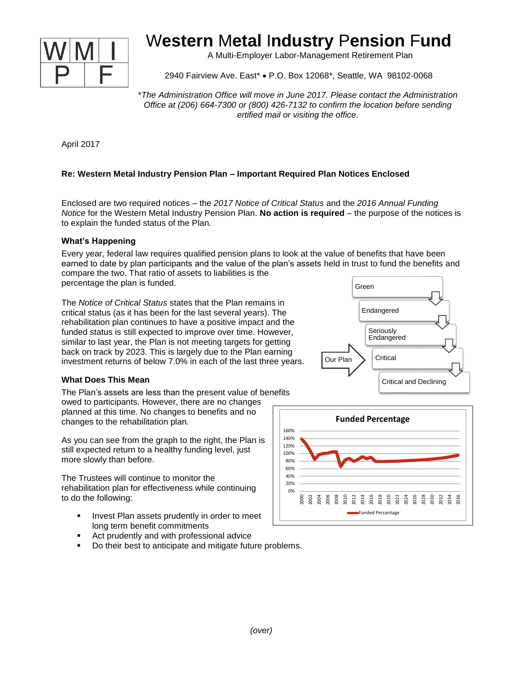

# W**estern** M**etal** I**ndustry** P**ension** F**und**

A Multi-Employer Labor-Management Retirement Plan

2940 Fairview Ave. East\* • P.O. Box 12068\*, Seattle, WA 98102-0068

\**The Administration Office will move in June 2017. Please contact the Administration Office at (206) 664-7300 or (800) 426-7132 to confirm the location before sending ertified mail or visiting the office*.

April 2017

## **Re: Western Metal Industry Pension Plan – Important Required Plan Notices Enclosed**

Enclosed are two required notices – the *2017 Notice of Critical Status* and the *2016 Annual Funding Notice* for the Western Metal Industry Pension Plan. **No action is required** – the purpose of the notices is to explain the funded status of the Plan.

### **What's Happening**

Every year, federal law requires qualified pension plans to look at the value of benefits that have been earned to date by plan participants and the value of the plan's assets held in trust to fund the benefits and compare the two. That ratio of assets to liabilities is the percentage the plan is funded.

The *Notice of Critical Status* states that the Plan remains in critical status (as it has been for the last several years). The rehabilitation plan continues to have a positive impact and the funded status is still expected to improve over time. However, similar to last year, the Plan is not meeting targets for getting back on track by 2023. This is largely due to the Plan earning investment returns of below 7.0% in each of the last three years.



## **What Does This Mean**

The Plan's assets are less than the present value of benefits owed to participants. However, there are no changes planned at this time. No changes to benefits and no changes to the rehabilitation plan.

As you can see from the graph to the right, the Plan is still expected return to a healthy funding level, just more slowly than before.

The Trustees will continue to monitor the rehabilitation plan for effectiveness while continuing to do the following:

- Invest Plan assets prudently in order to meet long term benefit commitments
- Act prudently and with professional advice
- Do their best to anticipate and mitigate future problems.

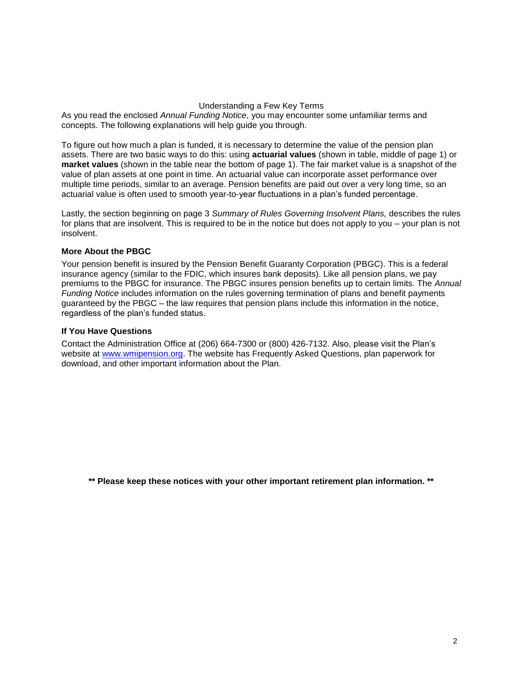Understanding a Few Key Terms As you read the enclosed *Annual Funding Notice*, you may encounter some unfamiliar terms and concepts. The following explanations will help guide you through.

To figure out how much a plan is funded, it is necessary to determine the value of the pension plan assets. There are two basic ways to do this: using **actuarial values** (shown in table, middle of page 1) or **market values** (shown in the table near the bottom of page 1). The fair market value is a snapshot of the value of plan assets at one point in time. An actuarial value can incorporate asset performance over multiple time periods, similar to an average. Pension benefits are paid out over a very long time, so an actuarial value is often used to smooth year-to-year fluctuations in a plan's funded percentage.

Lastly, the section beginning on page 3 *Summary of Rules Governing Insolvent Plans,* describes the rules for plans that are insolvent. This is required to be in the notice but does not apply to you – your plan is not insolvent.

#### **More About the PBGC**

Your pension benefit is insured by the Pension Benefit Guaranty Corporation (PBGC). This is a federal insurance agency (similar to the FDIC, which insures bank deposits). Like all pension plans, we pay premiums to the PBGC for insurance. The PBGC insures pension benefits up to certain limits. The *Annual Funding Notice* includes information on the rules governing termination of plans and benefit payments guaranteed by the PBGC – the law requires that pension plans include this information in the notice, regardless of the plan's funded status.

#### **If You Have Questions**

Contact the Administration Office at (206) 664-7300 or (800) 426-7132. Also, please visit the Plan's website at [www.wmipension.org.](http://www.wmipension.org/) The website has Frequently Asked Questions, plan paperwork for download, and other important information about the Plan.

**\*\* Please keep these notices with your other important retirement plan information. \*\***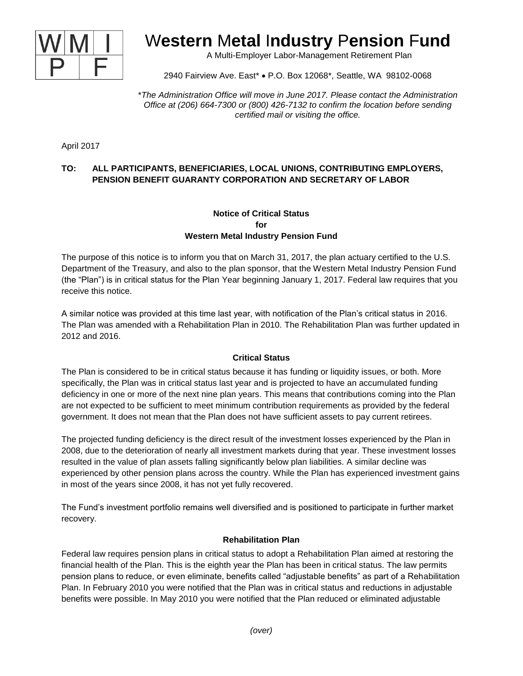

# W**estern** M**etal** I**ndustry** P**ension** F**und**

A Multi-Employer Labor-Management Retirement Plan

2940 Fairview Ave. East\* • P.O. Box 12068\*, Seattle, WA 98102-0068

\**The Administration Office will move in June 2017. Please contact the Administration Office at (206) 664-7300 or (800) 426-7132 to confirm the location before sending certified mail or visiting the office.*

April 2017

## **TO: ALL PARTICIPANTS, BENEFICIARIES, LOCAL UNIONS, CONTRIBUTING EMPLOYERS, PENSION BENEFIT GUARANTY CORPORATION AND SECRETARY OF LABOR**

## **Notice of Critical Status for Western Metal Industry Pension Fund**

The purpose of this notice is to inform you that on March 31, 2017, the plan actuary certified to the U.S. Department of the Treasury, and also to the plan sponsor, that the Western Metal Industry Pension Fund (the "Plan") is in critical status for the Plan Year beginning January 1, 2017. Federal law requires that you receive this notice.

A similar notice was provided at this time last year, with notification of the Plan's critical status in 2016. The Plan was amended with a Rehabilitation Plan in 2010. The Rehabilitation Plan was further updated in 2012 and 2016.

## **Critical Status**

The Plan is considered to be in critical status because it has funding or liquidity issues, or both. More specifically, the Plan was in critical status last year and is projected to have an accumulated funding deficiency in one or more of the next nine plan years. This means that contributions coming into the Plan are not expected to be sufficient to meet minimum contribution requirements as provided by the federal government. It does not mean that the Plan does not have sufficient assets to pay current retirees.

The projected funding deficiency is the direct result of the investment losses experienced by the Plan in 2008, due to the deterioration of nearly all investment markets during that year. These investment losses resulted in the value of plan assets falling significantly below plan liabilities. A similar decline was experienced by other pension plans across the country. While the Plan has experienced investment gains in most of the years since 2008, it has not yet fully recovered.

The Fund's investment portfolio remains well diversified and is positioned to participate in further market recovery.

## **Rehabilitation Plan**

Federal law requires pension plans in critical status to adopt a Rehabilitation Plan aimed at restoring the financial health of the Plan. This is the eighth year the Plan has been in critical status. The law permits pension plans to reduce, or even eliminate, benefits called "adjustable benefits" as part of a Rehabilitation Plan. In February 2010 you were notified that the Plan was in critical status and reductions in adjustable benefits were possible. In May 2010 you were notified that the Plan reduced or eliminated adjustable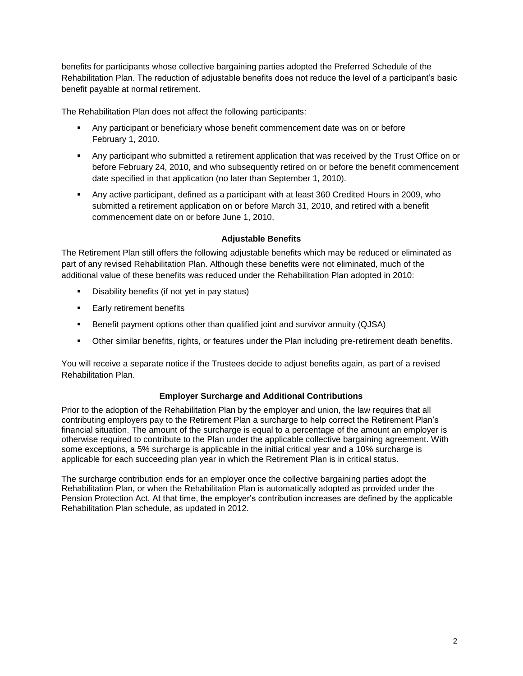benefits for participants whose collective bargaining parties adopted the Preferred Schedule of the Rehabilitation Plan. The reduction of adjustable benefits does not reduce the level of a participant's basic benefit payable at normal retirement.

The Rehabilitation Plan does not affect the following participants:

- **EXECT** Any participant or beneficiary whose benefit commencement date was on or before February 1, 2010.
- Any participant who submitted a retirement application that was received by the Trust Office on or before February 24, 2010, and who subsequently retired on or before the benefit commencement date specified in that application (no later than September 1, 2010).
- Any active participant, defined as a participant with at least 360 Credited Hours in 2009, who submitted a retirement application on or before March 31, 2010, and retired with a benefit commencement date on or before June 1, 2010.

## **Adjustable Benefits**

The Retirement Plan still offers the following adjustable benefits which may be reduced or eliminated as part of any revised Rehabilitation Plan. Although these benefits were not eliminated, much of the additional value of these benefits was reduced under the Rehabilitation Plan adopted in 2010:

- Disability benefits (if not yet in pay status)
- Early retirement benefits
- **EXECT** Benefit payment options other than qualified joint and survivor annuity (QJSA)
- Other similar benefits, rights, or features under the Plan including pre-retirement death benefits.

You will receive a separate notice if the Trustees decide to adjust benefits again, as part of a revised Rehabilitation Plan.

### **Employer Surcharge and Additional Contributions**

Prior to the adoption of the Rehabilitation Plan by the employer and union, the law requires that all contributing employers pay to the Retirement Plan a surcharge to help correct the Retirement Plan's financial situation. The amount of the surcharge is equal to a percentage of the amount an employer is otherwise required to contribute to the Plan under the applicable collective bargaining agreement. With some exceptions, a 5% surcharge is applicable in the initial critical year and a 10% surcharge is applicable for each succeeding plan year in which the Retirement Plan is in critical status.

The surcharge contribution ends for an employer once the collective bargaining parties adopt the Rehabilitation Plan, or when the Rehabilitation Plan is automatically adopted as provided under the Pension Protection Act. At that time, the employer's contribution increases are defined by the applicable Rehabilitation Plan schedule, as updated in 2012.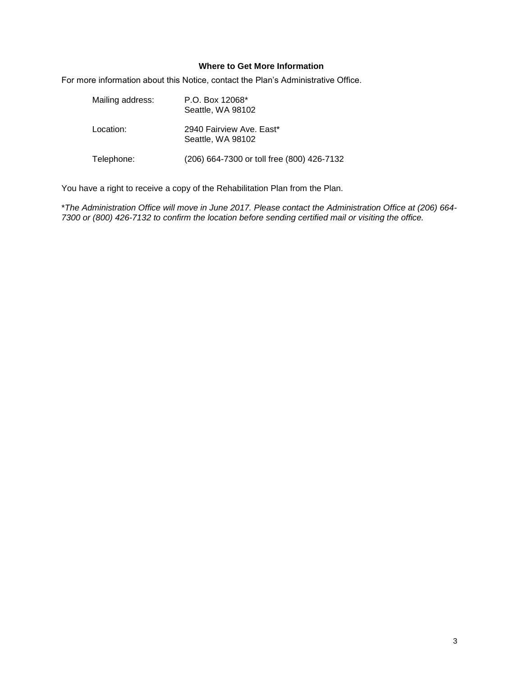## **Where to Get More Information**

For more information about this Notice, contact the Plan's Administrative Office.

| Mailing address: | P.O. Box 12068*<br>Seattle, WA 98102          |
|------------------|-----------------------------------------------|
| Location:        | 2940 Fairview Ave. East*<br>Seattle, WA 98102 |
| Telephone:       | (206) 664-7300 or toll free (800) 426-7132    |

You have a right to receive a copy of the Rehabilitation Plan from the Plan.

\**The Administration Office will move in June 2017. Please contact the Administration Office at (206) 664- 7300 or (800) 426-7132 to confirm the location before sending certified mail or visiting the office.*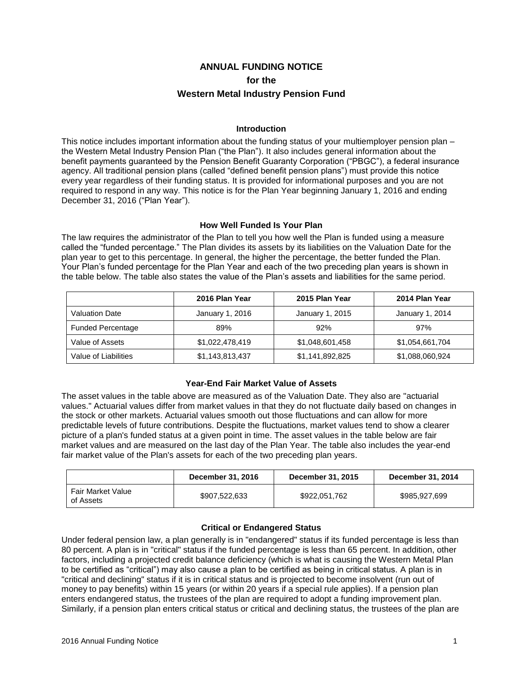## **ANNUAL FUNDING NOTICE for the Western Metal Industry Pension Fund**

#### **Introduction**

This notice includes important information about the funding status of your multiemployer pension plan – the Western Metal Industry Pension Plan ("the Plan"). It also includes general information about the benefit payments guaranteed by the Pension Benefit Guaranty Corporation ("PBGC"), a federal insurance agency. All traditional pension plans (called "defined benefit pension plans") must provide this notice every year regardless of their funding status. It is provided for informational purposes and you are not required to respond in any way. This notice is for the Plan Year beginning January 1, 2016 and ending December 31, 2016 ("Plan Year").

#### **How Well Funded Is Your Plan**

The law requires the administrator of the Plan to tell you how well the Plan is funded using a measure called the "funded percentage." The Plan divides its assets by its liabilities on the Valuation Date for the plan year to get to this percentage. In general, the higher the percentage, the better funded the Plan. Your Plan's funded percentage for the Plan Year and each of the two preceding plan years is shown in the table below. The table also states the value of the Plan's assets and liabilities for the same period.

|                          | 2016 Plan Year  | 2015 Plan Year  | 2014 Plan Year  |
|--------------------------|-----------------|-----------------|-----------------|
| Valuation Date           | January 1, 2016 | January 1, 2015 | January 1, 2014 |
| <b>Funded Percentage</b> | 89%             | 92%             | 97%             |
| Value of Assets          | \$1,022,478,419 | \$1,048,601,458 | \$1,054,661,704 |
| Value of Liabilities     | \$1,143,813,437 | \$1,141,892,825 | \$1,088,060,924 |

### **Year-End Fair Market Value of Assets**

The asset values in the table above are measured as of the Valuation Date. They also are "actuarial values." Actuarial values differ from market values in that they do not fluctuate daily based on changes in the stock or other markets. Actuarial values smooth out those fluctuations and can allow for more predictable levels of future contributions. Despite the fluctuations, market values tend to show a clearer picture of a plan's funded status at a given point in time. The asset values in the table below are fair market values and are measured on the last day of the Plan Year. The table also includes the year-end fair market value of the Plan's assets for each of the two preceding plan years.

|                                | December 31, 2016 | December 31, 2015 | <b>December 31, 2014</b> |
|--------------------------------|-------------------|-------------------|--------------------------|
| Fair Market Value<br>of Assets | \$907,522,633     | \$922,051,762     | \$985,927,699            |

### **Critical or Endangered Status**

Under federal pension law, a plan generally is in "endangered" status if its funded percentage is less than 80 percent. A plan is in "critical" status if the funded percentage is less than 65 percent. In addition, other factors, including a projected credit balance deficiency (which is what is causing the Western Metal Plan to be certified as "critical") may also cause a plan to be certified as being in critical status. A plan is in "critical and declining" status if it is in critical status and is projected to become insolvent (run out of money to pay benefits) within 15 years (or within 20 years if a special rule applies). If a pension plan enters endangered status, the trustees of the plan are required to adopt a funding improvement plan. Similarly, if a pension plan enters critical status or critical and declining status, the trustees of the plan are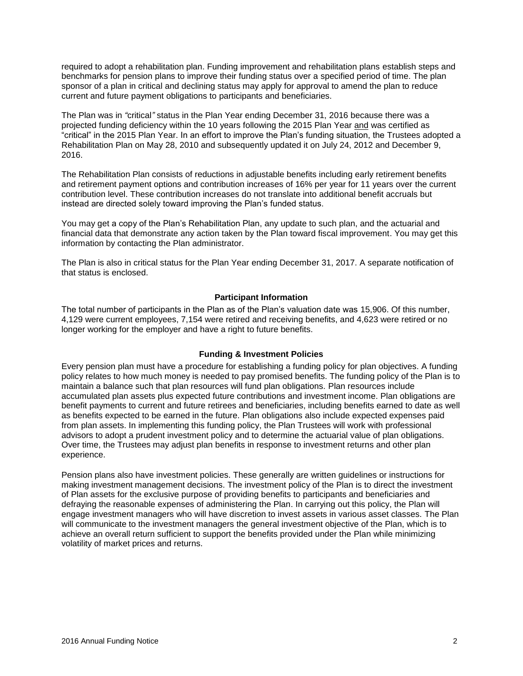required to adopt a rehabilitation plan. Funding improvement and rehabilitation plans establish steps and benchmarks for pension plans to improve their funding status over a specified period of time. The plan sponsor of a plan in critical and declining status may apply for approval to amend the plan to reduce current and future payment obligations to participants and beneficiaries.

The Plan was in *"*critical*"* status in the Plan Year ending December 31, 2016 because there was a projected funding deficiency within the 10 years following the 2015 Plan Year and was certified as "critical" in the 2015 Plan Year. In an effort to improve the Plan's funding situation, the Trustees adopted a Rehabilitation Plan on May 28, 2010 and subsequently updated it on July 24, 2012 and December 9, 2016.

The Rehabilitation Plan consists of reductions in adjustable benefits including early retirement benefits and retirement payment options and contribution increases of 16% per year for 11 years over the current contribution level. These contribution increases do not translate into additional benefit accruals but instead are directed solely toward improving the Plan's funded status.

You may get a copy of the Plan's Rehabilitation Plan, any update to such plan, and the actuarial and financial data that demonstrate any action taken by the Plan toward fiscal improvement. You may get this information by contacting the Plan administrator.

The Plan is also in critical status for the Plan Year ending December 31, 2017. A separate notification of that status is enclosed.

#### **Participant Information**

The total number of participants in the Plan as of the Plan's valuation date was 15,906. Of this number, 4,129 were current employees, 7,154 were retired and receiving benefits, and 4,623 were retired or no longer working for the employer and have a right to future benefits.

#### **Funding & Investment Policies**

Every pension plan must have a procedure for establishing a funding policy for plan objectives. A funding policy relates to how much money is needed to pay promised benefits. The funding policy of the Plan is to maintain a balance such that plan resources will fund plan obligations. Plan resources include accumulated plan assets plus expected future contributions and investment income. Plan obligations are benefit payments to current and future retirees and beneficiaries, including benefits earned to date as well as benefits expected to be earned in the future. Plan obligations also include expected expenses paid from plan assets. In implementing this funding policy, the Plan Trustees will work with professional advisors to adopt a prudent investment policy and to determine the actuarial value of plan obligations. Over time, the Trustees may adjust plan benefits in response to investment returns and other plan experience.

Pension plans also have investment policies. These generally are written guidelines or instructions for making investment management decisions. The investment policy of the Plan is to direct the investment of Plan assets for the exclusive purpose of providing benefits to participants and beneficiaries and defraying the reasonable expenses of administering the Plan. In carrying out this policy, the Plan will engage investment managers who will have discretion to invest assets in various asset classes. The Plan will communicate to the investment managers the general investment objective of the Plan, which is to achieve an overall return sufficient to support the benefits provided under the Plan while minimizing volatility of market prices and returns.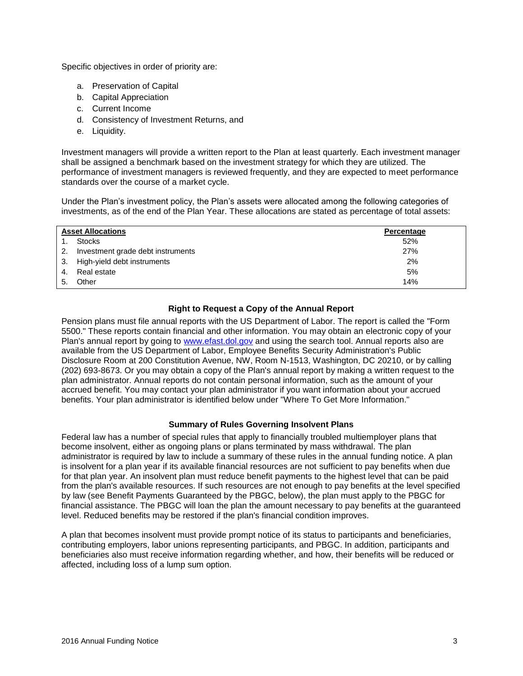Specific objectives in order of priority are:

- a. Preservation of Capital
- b. Capital Appreciation
- c. Current Income
- d. Consistency of Investment Returns, and
- e. Liquidity.

Investment managers will provide a written report to the Plan at least quarterly. Each investment manager shall be assigned a benchmark based on the investment strategy for which they are utilized. The performance of investment managers is reviewed frequently, and they are expected to meet performance standards over the course of a market cycle.

Under the Plan's investment policy, the Plan's assets were allocated among the following categories of investments, as of the end of the Plan Year. These allocations are stated as percentage of total assets:

| <b>Asset Allocations</b> |                                   | Percentage |
|--------------------------|-----------------------------------|------------|
|                          | <b>Stocks</b>                     | 52%        |
| 2.                       | Investment grade debt instruments | 27%        |
| 3.                       | High-yield debt instruments       | 2%         |
| 4.                       | Real estate                       | 5%         |
| 5.                       | Other                             | 14%        |

### **Right to Request a Copy of the Annual Report**

Pension plans must file annual reports with the US Department of Labor. The report is called the "Form 5500." These reports contain financial and other information. You may obtain an electronic copy of your Plan's annual report by going to [www.efast.dol.gov](file://///seapen_boss.milliman.com/space/GROUP/DOC_PROD/WMP/www.efast.dol.gov) and using the search tool. Annual reports also are available from the US Department of Labor, Employee Benefits Security Administration's Public Disclosure Room at 200 Constitution Avenue, NW, Room N-1513, Washington, DC 20210, or by calling (202) 693-8673. Or you may obtain a copy of the Plan's annual report by making a written request to the plan administrator. Annual reports do not contain personal information, such as the amount of your accrued benefit. You may contact your plan administrator if you want information about your accrued benefits. Your plan administrator is identified below under "Where To Get More Information."

#### **Summary of Rules Governing Insolvent Plans**

Federal law has a number of special rules that apply to financially troubled multiemployer plans that become insolvent, either as ongoing plans or plans terminated by mass withdrawal. The plan administrator is required by law to include a summary of these rules in the annual funding notice. A plan is insolvent for a plan year if its available financial resources are not sufficient to pay benefits when due for that plan year. An insolvent plan must reduce benefit payments to the highest level that can be paid from the plan's available resources. If such resources are not enough to pay benefits at the level specified by law (see Benefit Payments Guaranteed by the PBGC, below), the plan must apply to the PBGC for financial assistance. The PBGC will loan the plan the amount necessary to pay benefits at the guaranteed level. Reduced benefits may be restored if the plan's financial condition improves.

A plan that becomes insolvent must provide prompt notice of its status to participants and beneficiaries, contributing employers, labor unions representing participants, and PBGC. In addition, participants and beneficiaries also must receive information regarding whether, and how, their benefits will be reduced or affected, including loss of a lump sum option.